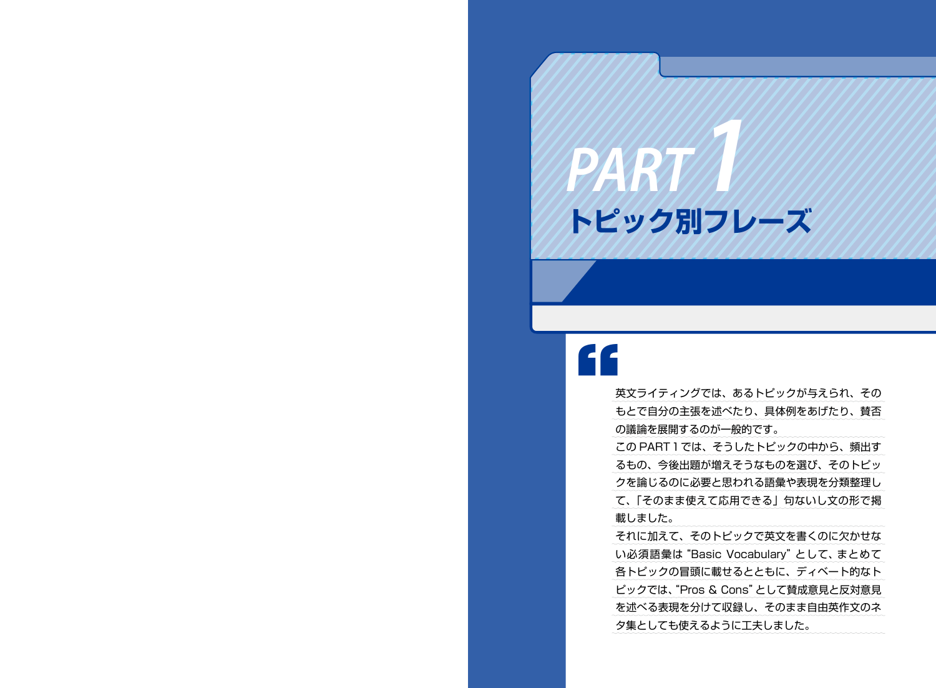# *PART 1* **トピック別フレーズ**

# **"**

英文ライティングでは、あるトピックが与えられ、その もとで自分の主張を述べたり、具体例をあげたり、賛否 の議論を展開するのが一般的です。 この PART 1では、そうしたトピックの中から、頻出す

るもの、今後出題が増えそうなものを選び、そのトピッ クを論じるのに必要と思われる語彙や表現を分類整理し て、「そのまま使えて応用できる」句ないし文の形で掲

載しました。

それに加えて、そのトピックで英文を書くのに欠かせな い必須語彙は"Basic Vocabulary"として、まとめて 各トピックの冒頭に載せるとともに、ディベート的なト ピックでは、"Pros & Cons"として賛成意見と反対意見 を述べる表現を分けて収録し、そのまま自由英作文のネ タ集としても使えるように工夫しました。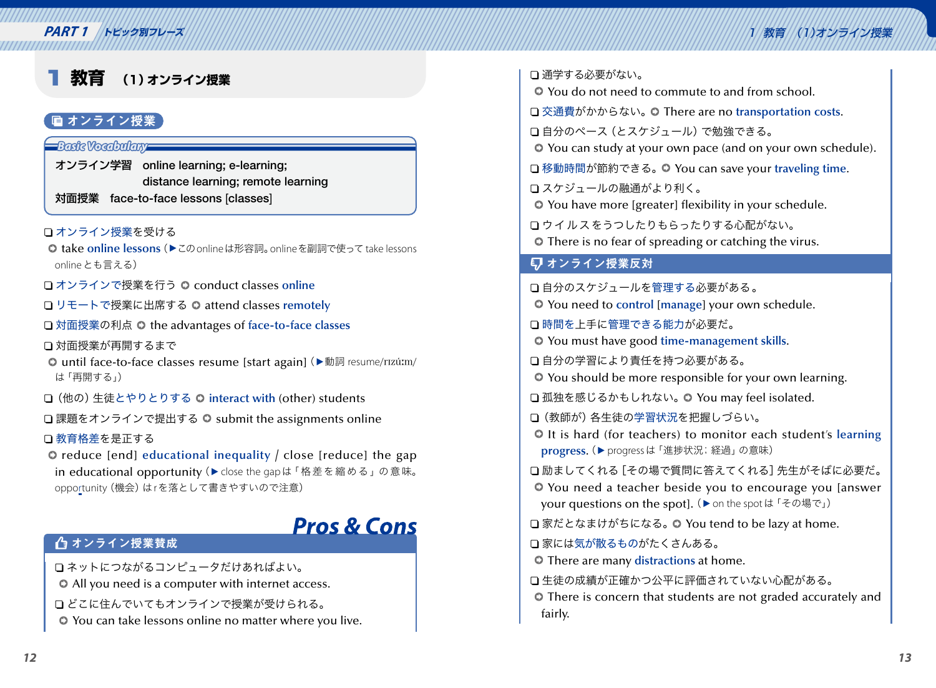# **PART 1 トピック別フレーズ**

# *PART 1* 1 教育 (1)オンライン授業

# 1 **教育 (1)オンライン授業**

#### ■ オンライン授業

#### **Basic Vocabulary**

オンライン学習 online learning; e-learning; distance learning; remote learning 対面授業 face-to-face lessons [classes]

#### □ オンライン授業を受ける

➲ take **online lessons**(▶このonlineは形容詞。onlineを副詞で使って take lessons onlineとも言える)

' オンラインで授業を行う ➲ conduct classes **online**

' リモートで授業に出席する ➲ attend classes **remotely**

□ 対面授業の利点 **○** the advantages of face-to-face classes

□対面授業が再開するまで

**◎** until face-to-face classes resume [start again] (▶動詞 resume/rɪzúːm/ は「再開する」)

□(他の)生徒とやりとりする ◎ interact with (other) students

□課題をオンラインで提出する ● submit the assignments online

#### □ 教育格差を是正する

➲ reduce [end] **educational inequality** / close [reduce] the gap in educational opportunity (▶ close the gapは「格差を縮める」の意味。 opportunity(機会)はrを落として書きやすいので注意)

# **Pros & Cons**

#### △ オンライン授業賛成

' ネットにつながるコンピュータだけあればよい。

➲ All you need is a computer with internet access.

□ どこに住んでいてもオンラインで授業が受けられる。

➲ You can take lessons online no matter where you live.

□ 通学する必要がない。

➲ You do not need to commute to and from school.

' 交通費がかからない。➲ There are no **transportation costs**.

□ 自分のペース (とスケジュール)で勉強できる。

➲ You can study at your own pace (and on your own schedule).

□ 移動時間が節約できる。 **○** You can save your traveling time.

' スケジュールの融通がより利く。

➲ You have more [greater] flexibility in your schedule.

' ウイルスをうつしたりもらったりする心配がない。

➲ There is no fear of spreading or catching the virus.

#### 7 オンライン授業反対

□自分のスケジュールを管理する必要がある。

➲ You need to **control** [**manage**] your own schedule.

□ 時間を上手に管理できる能力が必要だ。

➲ You must have good **time-management skills**.

□自分の学習により責任を持つ必要がある。

➲ You should be more responsible for your own learning.

□ 孤独を感じるかもしれない。 ◎ You may feel isolated.

□(教師が)各生徒の学習状況を把握しづらい。

➲ It is hard (for teachers) to monitor each student's **learning progress**.(▶progressは「進捗状況;経過」の意味)

□ 励ましてくれる [その場で質問に答えてくれる] 先生がそばに必要だ。

➲ You need a teacher beside you to encourage you [answer your questions on the spot]. (▶ on the spotは「その場で」)

□ 家だとなまけがちになる。 ◎ You tend to be lazy at home.

□ 家には気が散るものがたくさんある。

➲ There are many **distractions** at home.

□ 生徒の成績が正確かつ公平に評価されていない心配がある。

➲ There is concern that students are not graded accurately and fairly.